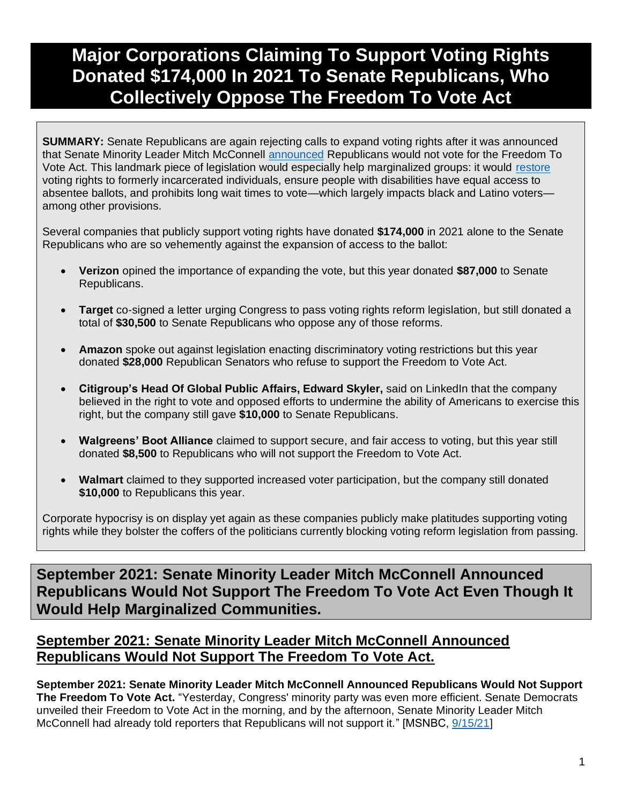# **Major Corporations Claiming To Support Voting Rights Donated \$174,000 In 2021 To Senate Republicans, Who Collectively Oppose The Freedom To Vote Act**

**SUMMARY:** Senate Republicans are again rejecting calls to expand voting rights after it was announced that Senate Minority Leader Mitch McConnell [announced](https://www.msnbc.com/rachel-maddow-show/mcconnell-smacks-away-compromise-offer-voting-rights-n1279236) Republicans would not vote for the Freedom To Vote Act. This landmark piece of legislation would especially help marginalized groups: it would [restore](https://www.brennancenter.org/our-work/research-reports/freedom-vote-act) voting rights to formerly incarcerated individuals, ensure people with disabilities have equal access to absentee ballots, and prohibits long wait times to vote—which largely impacts black and Latino voters among other provisions.

Several companies that publicly support voting rights have donated **\$174,000** in 2021 alone to the Senate Republicans who are so vehemently against the expansion of access to the ballot:

- **Verizon** opined the importance of expanding the vote, but this year donated **\$87,000** to Senate Republicans.
- **Target** co-signed a letter urging Congress to pass voting rights reform legislation, but still donated a total of **\$30,500** to Senate Republicans who oppose any of those reforms.
- **Amazon** spoke out against legislation enacting discriminatory voting restrictions but this year donated **\$28,000** Republican Senators who refuse to support the Freedom to Vote Act.
- **Citigroup's Head Of Global Public Affairs, Edward Skyler,** said on LinkedIn that the company believed in the right to vote and opposed efforts to undermine the ability of Americans to exercise this right, but the company still gave **\$10,000** to Senate Republicans.
- **Walgreens' Boot Alliance** claimed to support secure, and fair access to voting, but this year still donated **\$8,500** to Republicans who will not support the Freedom to Vote Act.
- **Walmart** claimed to they supported increased voter participation, but the company still donated **\$10,000** to Republicans this year.

Corporate hypocrisy is on display yet again as these companies publicly make platitudes supporting voting rights while they bolster the coffers of the politicians currently blocking voting reform legislation from passing.

**September 2021: Senate Minority Leader Mitch McConnell Announced Republicans Would Not Support The Freedom To Vote Act Even Though It Would Help Marginalized Communities.**

### **September 2021: Senate Minority Leader Mitch McConnell Announced Republicans Would Not Support The Freedom To Vote Act.**

**September 2021: Senate Minority Leader Mitch McConnell Announced Republicans Would Not Support The Freedom To Vote Act.** "Yesterday, Congress' minority party was even more efficient. Senate Democrats unveiled their Freedom to Vote Act in the morning, and by the afternoon, Senate Minority Leader Mitch McConnell had already told reporters that Republicans will not support it." [MSNBC, [9/15/21\]](https://www.msnbc.com/rachel-maddow-show/mcconnell-smacks-away-compromise-offer-voting-rights-n1279236)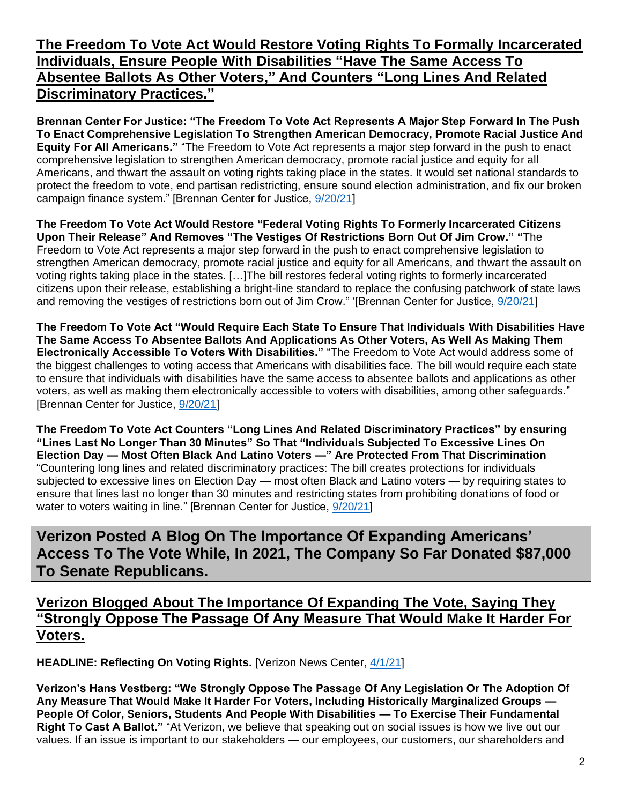### **The Freedom To Vote Act Would Restore Voting Rights To Formally Incarcerated Individuals, Ensure People With Disabilities "Have The Same Access To Absentee Ballots As Other Voters," And Counters "Long Lines And Related Discriminatory Practices."**

**Brennan Center For Justice: "The Freedom To Vote Act Represents A Major Step Forward In The Push To Enact Comprehensive Legislation To Strengthen American Democracy, Promote Racial Justice And Equity For All Americans."** "The Freedom to Vote Act represents a major step forward in the push to enact comprehensive legislation to strengthen American democracy, promote racial justice and equity for all Americans, and thwart the assault on voting rights taking place in the states. It would set national standards to protect the freedom to vote, end partisan redistricting, ensure sound election administration, and fix our broken campaign finance system." [Brennan Center for Justice, [9/20/21\]](https://www.brennancenter.org/our-work/research-reports/freedom-vote-act)

**The Freedom To Vote Act Would Restore "Federal Voting Rights To Formerly Incarcerated Citizens Upon Their Release" And Removes "The Vestiges Of Restrictions Born Out Of Jim Crow." "**The Freedom to Vote Act represents a major step forward in the push to enact comprehensive legislation to strengthen American democracy, promote racial justice and equity for all Americans, and thwart the assault on voting rights taking place in the states. […]The bill restores federal voting rights to formerly incarcerated citizens upon their release, establishing a bright-line standard to replace the confusing patchwork of state laws and removing the vestiges of restrictions born out of Jim Crow." '[Brennan Center for Justice, [9/20/21\]](https://www.brennancenter.org/our-work/research-reports/freedom-vote-act)

**The Freedom To Vote Act "Would Require Each State To Ensure That Individuals With Disabilities Have The Same Access To Absentee Ballots And Applications As Other Voters, As Well As Making Them Electronically Accessible To Voters With Disabilities."** "The Freedom to Vote Act would address some of the biggest challenges to voting access that Americans with disabilities face. The bill would require each state to ensure that individuals with disabilities have the same access to absentee ballots and applications as other voters, as well as making them electronically accessible to voters with disabilities, among other safeguards." [Brennan Center for Justice, [9/20/21\]](https://www.brennancenter.org/our-work/research-reports/freedom-vote-act)

**The Freedom To Vote Act Counters "Long Lines And Related Discriminatory Practices" by ensuring "Lines Last No Longer Than 30 Minutes" So That "Individuals Subjected To Excessive Lines On Election Day — Most Often Black And Latino Voters —" Are Protected From That Discrimination**  "Countering long lines and related discriminatory practices: The bill creates protections for individuals subjected to excessive lines on Election Day — most often Black and Latino voters — by requiring states to ensure that lines last no longer than 30 minutes and restricting states from prohibiting donations of food or water to voters waiting in line." [Brennan Center for Justice,  $9/20/21$ ]

**Verizon Posted A Blog On The Importance Of Expanding Americans' Access To The Vote While, In 2021, The Company So Far Donated \$87,000 To Senate Republicans.** 

**Verizon Blogged About The Importance Of Expanding The Vote, Saying They "Strongly Oppose The Passage Of Any Measure That Would Make It Harder For Voters.** 

**HEADLINE: Reflecting On Voting Rights.** [Verizon News Center, [4/1/21\]](https://www.verizon.com/about/news/speed-reflecting-on-voting-rights)

**Verizon's Hans Vestberg: "We Strongly Oppose The Passage Of Any Legislation Or The Adoption Of Any Measure That Would Make It Harder For Voters, Including Historically Marginalized Groups — People Of Color, Seniors, Students And People With Disabilities — To Exercise Their Fundamental Right To Cast A Ballot."** "At Verizon, we believe that speaking out on social issues is how we live out our values. If an issue is important to our stakeholders — our employees, our customers, our shareholders and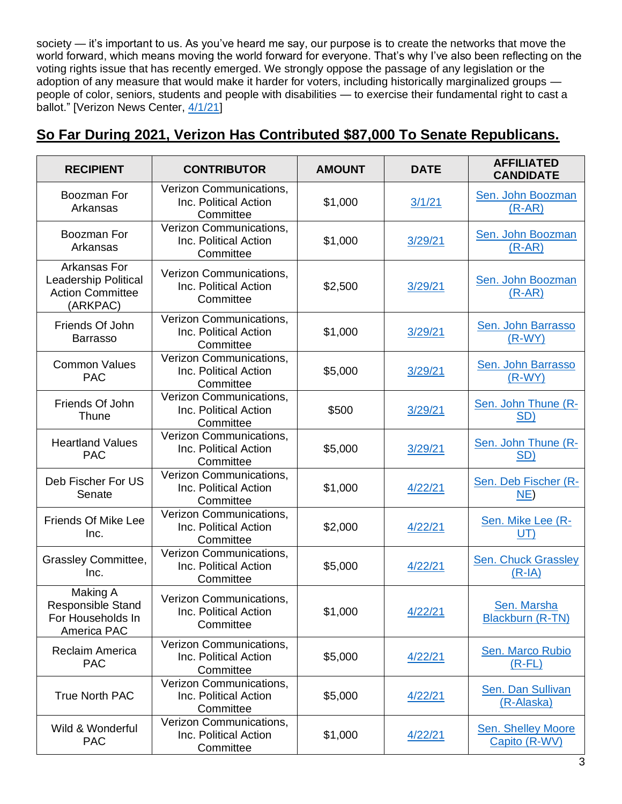society — it's important to us. As you've heard me say, our purpose is to create the networks that move the world forward, which means moving the world forward for everyone. That's why I've also been reflecting on the voting rights issue that has recently emerged. We strongly oppose the passage of any legislation or the adoption of any measure that would make it harder for voters, including historically marginalized groups people of color, seniors, students and people with disabilities — to exercise their fundamental right to cast a ballot." [Verizon News Center, [4/1/21\]](https://www.verizon.com/about/news/speed-reflecting-on-voting-rights)

| <b>RECIPIENT</b>                                                                   | <b>CONTRIBUTOR</b>                                            | <b>AMOUNT</b> | <b>DATE</b> | <b>AFFILIATED</b><br><b>CANDIDATE</b> |
|------------------------------------------------------------------------------------|---------------------------------------------------------------|---------------|-------------|---------------------------------------|
| Boozman For<br>Arkansas                                                            | Verizon Communications,<br>Inc. Political Action<br>Committee | \$1,000       | 3/1/21      | Sen. John Boozman<br>$(R-AR)$         |
| Boozman For<br>Arkansas                                                            | Verizon Communications,<br>Inc. Political Action<br>Committee | \$1,000       | 3/29/21     | Sen. John Boozman<br>$(R-AR)$         |
| Arkansas For<br><b>Leadership Political</b><br><b>Action Committee</b><br>(ARKPAC) | Verizon Communications,<br>Inc. Political Action<br>Committee | \$2,500       | 3/29/21     | Sen. John Boozman<br>$(R-AR)$         |
| Friends Of John<br><b>Barrasso</b>                                                 | Verizon Communications,<br>Inc. Political Action<br>Committee | \$1,000       | 3/29/21     | Sen. John Barrasso<br>$(R-WY)$        |
| <b>Common Values</b><br><b>PAC</b>                                                 | Verizon Communications,<br>Inc. Political Action<br>Committee | \$5,000       | 3/29/21     | Sen. John Barrasso<br>$(R-WY)$        |
| Friends Of John<br>Thune                                                           | Verizon Communications,<br>Inc. Political Action<br>Committee | \$500         | 3/29/21     | Sen. John Thune (R-<br>SD)            |
| <b>Heartland Values</b><br><b>PAC</b>                                              | Verizon Communications,<br>Inc. Political Action<br>Committee | \$5,000       | 3/29/21     | Sen. John Thune (R-<br><b>SD)</b>     |
| Deb Fischer For US<br>Senate                                                       | Verizon Communications,<br>Inc. Political Action<br>Committee | \$1,000       | 4/22/21     | Sen. Deb Fischer (R-<br>NE            |
| <b>Friends Of Mike Lee</b><br>Inc.                                                 | Verizon Communications,<br>Inc. Political Action<br>Committee | \$2,000       | 4/22/21     | Sen. Mike Lee (R-<br>UT)              |
| Grassley Committee,<br>Inc.                                                        | Verizon Communications,<br>Inc. Political Action<br>Committee | \$5,000       | 4/22/21     | Sen. Chuck Grassley<br>$(R-IA)$       |
| Making A<br><b>Responsible Stand</b><br>For Households In<br>America PAC           | Verizon Communications,<br>Inc. Political Action<br>Committee | \$1,000       | 4/22/21     | Sen. Marsha<br>Blackburn (R-TN)       |
| Reclaim America<br><b>PAC</b>                                                      | Verizon Communications,<br>Inc. Political Action<br>Committee | \$5,000       | 4/22/21     | Sen. Marco Rubio<br>$(R$ -FL $)$      |
| <b>True North PAC</b>                                                              | Verizon Communications,<br>Inc. Political Action<br>Committee | \$5,000       | 4/22/21     | Sen. Dan Sullivan<br>(R-Alaska)       |
| Wild & Wonderful<br><b>PAC</b>                                                     | Verizon Communications,<br>Inc. Political Action<br>Committee | \$1,000       | 4/22/21     | Sen. Shelley Moore<br>Capito (R-WV)   |

### **So Far During 2021, Verizon Has Contributed \$87,000 To Senate Republicans.**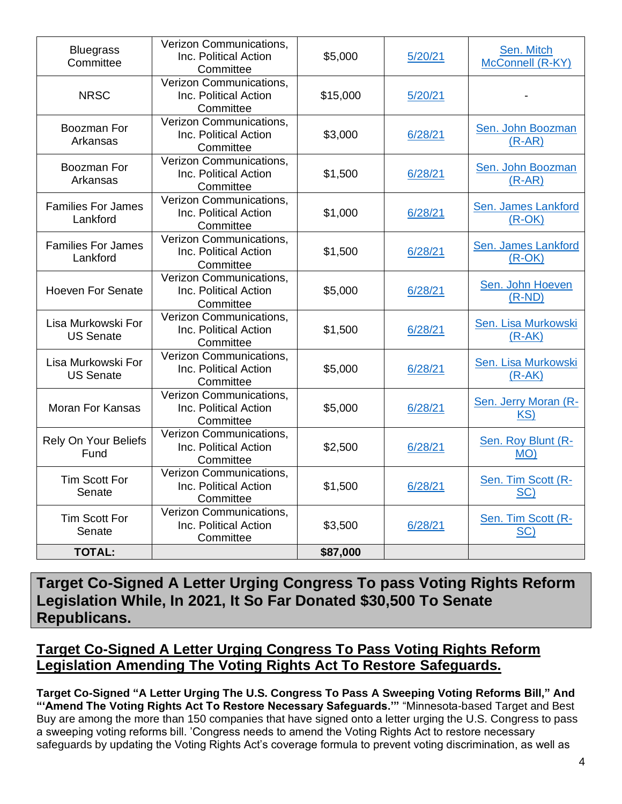| <b>Bluegrass</b><br>Committee          | Verizon Communications,<br>Inc. Political Action<br>\$5,000<br>Committee |                     | 5/20/21 | Sen. Mitch<br>McConnell (R-KY)  |
|----------------------------------------|--------------------------------------------------------------------------|---------------------|---------|---------------------------------|
| <b>NRSC</b>                            | Verizon Communications,<br>Inc. Political Action<br>Committee            | \$15,000<br>5/20/21 |         |                                 |
| Boozman For<br>Arkansas                | Verizon Communications,<br>Inc. Political Action<br>Committee            | \$3,000             | 6/28/21 | Sen. John Boozman<br>$(R-AR)$   |
| Boozman For<br>Arkansas                | Verizon Communications,<br>Inc. Political Action<br>Committee            | \$1,500             | 6/28/21 | Sen. John Boozman<br>$(R-AR)$   |
| <b>Families For James</b><br>Lankford  | Verizon Communications,<br>Inc. Political Action<br>Committee            | \$1,000             | 6/28/21 | Sen. James Lankford<br>$(R-OK)$ |
| <b>Families For James</b><br>Lankford  | Verizon Communications,<br>Inc. Political Action<br>Committee            | \$1,500             | 6/28/21 | Sen. James Lankford<br>$(R-OK)$ |
| <b>Hoeven For Senate</b>               | Verizon Communications,<br>Inc. Political Action<br>Committee            | \$5,000             | 6/28/21 | Sen. John Hoeven<br>$(R-ND)$    |
| Lisa Murkowski For<br><b>US Senate</b> | Verizon Communications,<br>Inc. Political Action<br>Committee            | \$1,500             | 6/28/21 | Sen. Lisa Murkowski<br>$(R-AK)$ |
| Lisa Murkowski For<br><b>US Senate</b> | Verizon Communications,<br>Inc. Political Action<br>Committee            | \$5,000             | 6/28/21 | Sen. Lisa Murkowski<br>$(R-AK)$ |
| <b>Moran For Kansas</b>                | Verizon Communications,<br>Inc. Political Action<br>Committee            | \$5,000             | 6/28/21 | Sen. Jerry Moran (R-<br>KS)     |
| Rely On Your Beliefs<br>Fund           | Verizon Communications,<br>Inc. Political Action<br>Committee            | \$2,500             | 6/28/21 | Sen. Roy Blunt (R-<br>MO)       |
| <b>Tim Scott For</b><br>Senate         | Verizon Communications,<br>Inc. Political Action<br>Committee            | \$1,500             | 6/28/21 | Sen. Tim Scott (R-<br>SC)       |
| <b>Tim Scott For</b><br>Senate         | Verizon Communications,<br>Inc. Political Action<br>Committee            | \$3,500             | 6/28/21 | Sen. Tim Scott (R-<br>SC)       |
| <b>TOTAL:</b>                          |                                                                          | \$87,000            |         |                                 |

**Target Co-Signed A Letter Urging Congress To pass Voting Rights Reform Legislation While, In 2021, It So Far Donated \$30,500 To Senate Republicans.**

### **Target Co-Signed A Letter Urging Congress To Pass Voting Rights Reform Legislation Amending The Voting Rights Act To Restore Safeguards.**

**Target Co-Signed "A Letter Urging The U.S. Congress To Pass A Sweeping Voting Reforms Bill," And "'Amend The Voting Rights Act To Restore Necessary Safeguards.'"** "Minnesota-based Target and Best Buy are among the more than 150 companies that have signed onto a letter urging the U.S. Congress to pass a sweeping voting reforms bill. 'Congress needs to amend the Voting Rights Act to restore necessary safeguards by updating the Voting Rights Act's coverage formula to prevent voting discrimination, as well as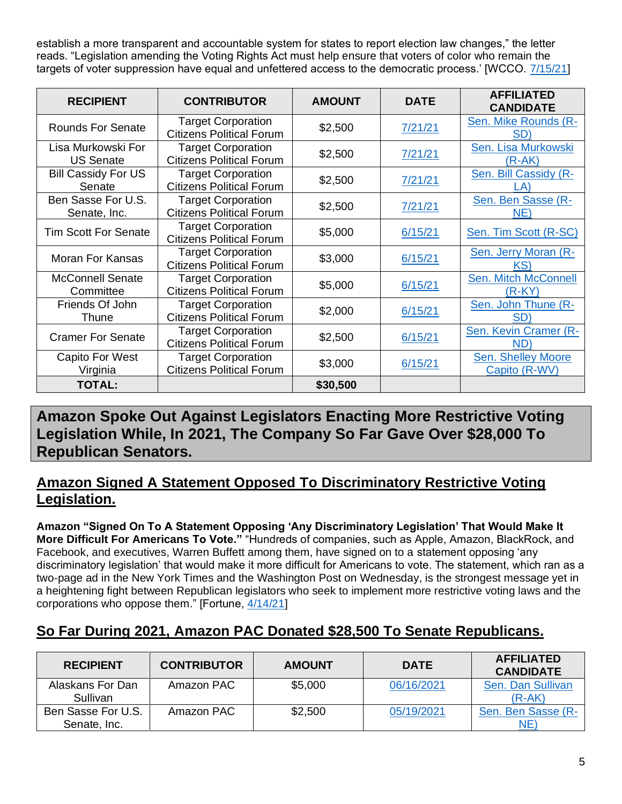establish a more transparent and accountable system for states to report election law changes," the letter reads. "Legislation amending the Voting Rights Act must help ensure that voters of color who remain the targets of voter suppression have equal and unfettered access to the democratic process.' [WCCO. [7/15/21\]](https://minnesota.cbslocal.com/2021/07/15/target-best-buy-among-150-companies-urging-congress-to-pass-voting-rights-bill/)

| <b>RECIPIENT</b>                       | <b>CONTRIBUTOR</b>                                           | <b>AMOUNT</b> | <b>DATE</b> | <b>AFFILIATED</b><br><b>CANDIDATE</b>   |
|----------------------------------------|--------------------------------------------------------------|---------------|-------------|-----------------------------------------|
| <b>Rounds For Senate</b>               | <b>Target Corporation</b><br><b>Citizens Political Forum</b> | \$2,500       | 7/21/21     | Sen. Mike Rounds (R-<br>SD)             |
| Lisa Murkowski For<br><b>US Senate</b> | <b>Target Corporation</b><br><b>Citizens Political Forum</b> | \$2,500       | 7/21/21     | Sen. Lisa Murkowski<br>$(R-AK)$         |
| <b>Bill Cassidy For US</b><br>Senate   | <b>Target Corporation</b><br><b>Citizens Political Forum</b> | \$2,500       | 7/21/21     | Sen. Bill Cassidy (R-<br>LA)            |
| Ben Sasse For U.S.<br>Senate, Inc.     | <b>Target Corporation</b><br><b>Citizens Political Forum</b> | \$2,500       | 7/21/21     | Sen. Ben Sasse (R-<br>NE)               |
| <b>Tim Scott For Senate</b>            | <b>Target Corporation</b><br><b>Citizens Political Forum</b> | \$5,000       | 6/15/21     | Sen. Tim Scott (R-SC)                   |
| Moran For Kansas                       | <b>Target Corporation</b><br><b>Citizens Political Forum</b> | \$3,000       | 6/15/21     | Sen. Jerry Moran (R-<br>KS)             |
| <b>McConnell Senate</b><br>Committee   | <b>Target Corporation</b><br><b>Citizens Political Forum</b> | \$5,000       | 6/15/21     | <b>Sen. Mitch McConnell</b><br>$(R-KY)$ |
| Friends Of John<br>Thune               | <b>Target Corporation</b><br><b>Citizens Political Forum</b> | \$2,000       | 6/15/21     | Sen. John Thune (R-<br>SD)              |
| <b>Cramer For Senate</b>               | <b>Target Corporation</b><br><b>Citizens Political Forum</b> | \$2,500       | 6/15/21     | Sen. Kevin Cramer (R-<br>ND)            |
| <b>Capito For West</b><br>Virginia     | <b>Target Corporation</b><br><b>Citizens Political Forum</b> | \$3,000       | 6/15/21     | Sen. Shelley Moore<br>Capito (R-WV)     |
| <b>TOTAL:</b>                          |                                                              | \$30,500      |             |                                         |

**Amazon Spoke Out Against Legislators Enacting More Restrictive Voting Legislation While, In 2021, The Company So Far Gave Over \$28,000 To Republican Senators.**

### **Amazon Signed A Statement Opposed To Discriminatory Restrictive Voting Legislation.**

**Amazon "Signed On To A Statement Opposing 'Any Discriminatory Legislation' That Would Make It More Difficult For Americans To Vote."** "Hundreds of companies, such as Apple, Amazon, BlackRock, and Facebook, and executives, Warren Buffett among them, have signed on to a statement opposing 'any discriminatory legislation' that would make it more difficult for Americans to vote. The statement, which ran as a two-page ad in the New York Times and the Washington Post on Wednesday, is the strongest message yet in a heightening fight between Republican legislators who seek to implement more restrictive voting laws and the corporations who oppose them." [Fortune, [4/14/21\]](https://fortune.com/2021/04/14/ceos-republican-voting-laws-voter-suppression-apple-amazon-blackrock-facebook-warren-buffett/)

## **So Far During 2021, Amazon PAC Donated \$28,500 To Senate Republicans.**

| <b>RECIPIENT</b>                   | <b>CONTRIBUTOR</b> | <b>AMOUNT</b> | <b>DATE</b> | <b>AFFILIATED</b><br><b>CANDIDATE</b> |
|------------------------------------|--------------------|---------------|-------------|---------------------------------------|
| Alaskans For Dan<br>Sullivan       | Amazon PAC         | \$5,000       | 06/16/2021  | Sen. Dan Sullivan<br>(R-AK)           |
| Ben Sasse For U.S.<br>Senate, Inc. | Amazon PAC         | \$2,500       | 05/19/2021  | Sen. Ben Sasse (R-<br>NE'             |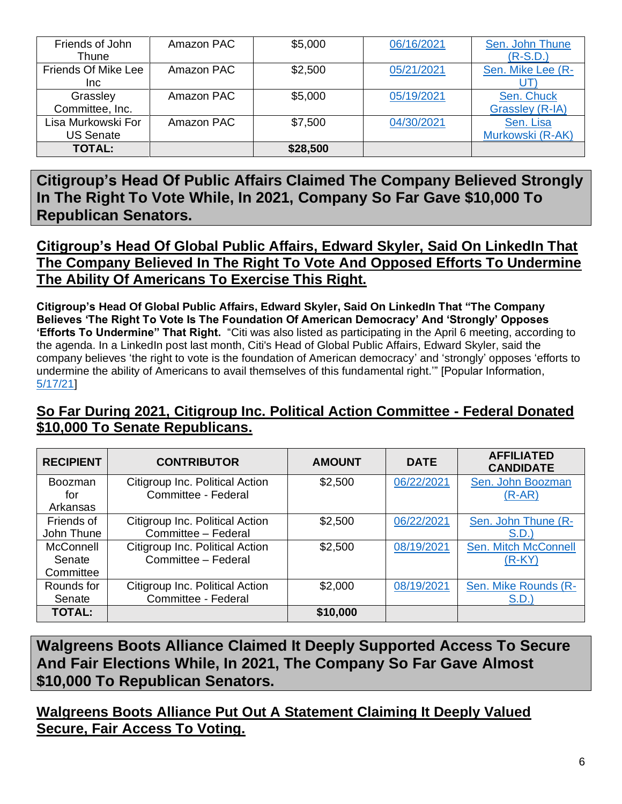| Friends of John<br>Thune               | Amazon PAC | \$5,000  | 06/16/2021 | Sen. John Thune<br>$(R-S.D.)$ |
|----------------------------------------|------------|----------|------------|-------------------------------|
| Friends Of Mike Lee<br>Inc.            | Amazon PAC | \$2,500  | 05/21/2021 | Sen. Mike Lee (R-             |
| Grassley<br>Committee, Inc.            | Amazon PAC | \$5,000  | 05/19/2021 | Sen. Chuck<br>Grassley (R-IA) |
| Lisa Murkowski For<br><b>US Senate</b> | Amazon PAC | \$7,500  | 04/30/2021 | Sen. Lisa<br>Murkowski (R-AK) |
| <b>TOTAL:</b>                          |            | \$28,500 |            |                               |

**Citigroup's Head Of Public Affairs Claimed The Company Believed Strongly In The Right To Vote While, In 2021, Company So Far Gave \$10,000 To Republican Senators.**

**Citigroup's Head Of Global Public Affairs, Edward Skyler, Said On LinkedIn That The Company Believed In The Right To Vote And Opposed Efforts To Undermine The Ability Of Americans To Exercise This Right.** 

**Citigroup's Head Of Global Public Affairs, Edward Skyler, Said On LinkedIn That "The Company Believes 'The Right To Vote Is The Foundation Of American Democracy' And 'Strongly' Opposes 'Efforts To Undermine" That Right.** "Citi was also listed as participating in the April 6 meeting, according to the agenda. In a LinkedIn post last month, Citi's Head of Global Public Affairs, Edward Skyler, said the company believes 'the right to vote is the foundation of American democracy' and 'strongly' opposes 'efforts to undermine the ability of Americans to avail themselves of this fundamental right.'" [Popular Information, [5/17/21\]](https://popular.info/p/google-deloitte-and-citigroup-quietly)

### **So Far During 2021, Citigroup Inc. Political Action Committee - Federal Donated \$10,000 To Senate Republicans.**

| <b>RECIPIENT</b>                  | <b>CONTRIBUTOR</b>                                     | <b>AMOUNT</b> | <b>DATE</b> | <b>AFFILIATED</b><br><b>CANDIDATE</b>   |
|-----------------------------------|--------------------------------------------------------|---------------|-------------|-----------------------------------------|
| <b>Boozman</b><br>for<br>Arkansas | Citigroup Inc. Political Action<br>Committee - Federal | \$2,500       | 06/22/2021  | Sen. John Boozman<br>$(R-AR)$           |
| Friends of<br>John Thune          | Citigroup Inc. Political Action<br>Committee - Federal | \$2,500       | 06/22/2021  | Sen. John Thune (R-<br>S.D.             |
| McConnell<br>Senate<br>Committee  | Citigroup Inc. Political Action<br>Committee - Federal | \$2,500       | 08/19/2021  | <b>Sen. Mitch McConnell</b><br>$(R-KY)$ |
| Rounds for<br>Senate              | Citigroup Inc. Political Action<br>Committee - Federal | \$2,000       | 08/19/2021  | Sen. Mike Rounds (R-<br>S.D.            |
| <b>TOTAL:</b>                     |                                                        | \$10,000      |             |                                         |

**Walgreens Boots Alliance Claimed It Deeply Supported Access To Secure And Fair Elections While, In 2021, The Company So Far Gave Almost \$10,000 To Republican Senators.**

**Walgreens Boots Alliance Put Out A Statement Claiming It Deeply Valued Secure, Fair Access To Voting.**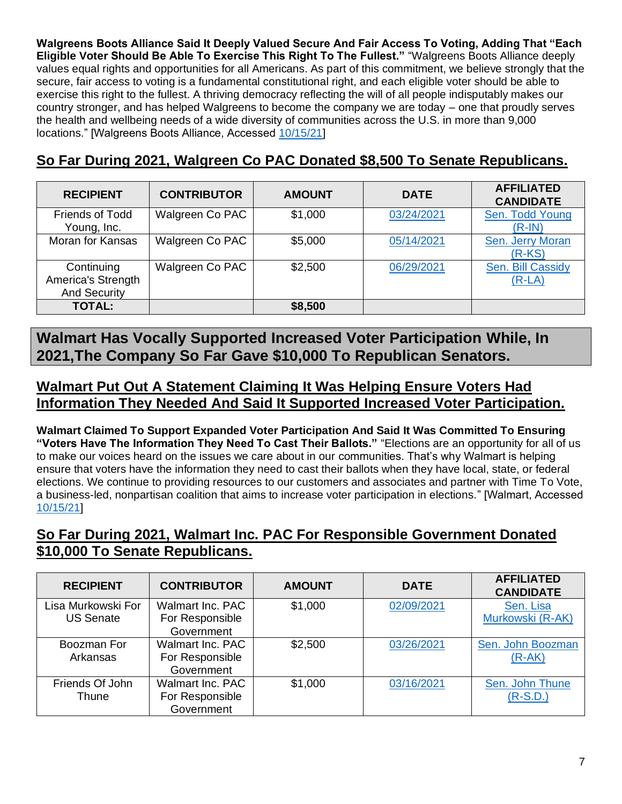**Walgreens Boots Alliance Said It Deeply Valued Secure And Fair Access To Voting, Adding That "Each Eligible Voter Should Be Able To Exercise This Right To The Fullest."** "Walgreens Boots Alliance deeply values equal rights and opportunities for all Americans. As part of this commitment, we believe strongly that the secure, fair access to voting is a fundamental constitutional right, and each eligible voter should be able to exercise this right to the fullest. A thriving democracy reflecting the will of all people indisputably makes our country stronger, and has helped Walgreens to become the company we are today – one that proudly serves the health and wellbeing needs of a wide diversity of communities across the U.S. in more than 9,000 locations." [Walgreens Boots Alliance, Accessed [10/15/21\]](https://www.walgreensbootsalliance.com/news-media/position-statements/wba-statement-access-voting-us)

### **So Far During 2021, Walgreen Co PAC Donated \$8,500 To Senate Republicans.**

| <b>RECIPIENT</b>                                        | <b>CONTRIBUTOR</b> | <b>AMOUNT</b> | <b>DATE</b> | <b>AFFILIATED</b><br><b>CANDIDATE</b> |
|---------------------------------------------------------|--------------------|---------------|-------------|---------------------------------------|
| <b>Friends of Todd</b><br>Young, Inc.                   | Walgreen Co PAC    | \$1,000       | 03/24/2021  | Sen. Todd Young<br>$(R-IN)$           |
| <b>Moran for Kansas</b>                                 | Walgreen Co PAC    | \$5,000       | 05/14/2021  | Sen. Jerry Moran<br>$(R-KS)$          |
| Continuing<br>America's Strength<br><b>And Security</b> | Walgreen Co PAC    | \$2,500       | 06/29/2021  | Sen. Bill Cassidy<br>$(R-LA)$         |
| <b>TOTAL:</b>                                           |                    | \$8,500       |             |                                       |

**Walmart Has Vocally Supported Increased Voter Participation While, In 2021,The Company So Far Gave \$10,000 To Republican Senators.**

### **Walmart Put Out A Statement Claiming It Was Helping Ensure Voters Had Information They Needed And Said It Supported Increased Voter Participation.**

**Walmart Claimed To Support Expanded Voter Participation And Said It Was Committed To Ensuring "Voters Have The Information They Need To Cast Their Ballots."** "Elections are an opportunity for all of us to make our voices heard on the issues we care about in our communities. That's why Walmart is helping ensure that voters have the information they need to cast their ballots when they have local, state, or federal elections. We continue to providing resources to our customers and associates and partner with Time To Vote, a business-led, nonpartisan coalition that aims to increase voter participation in elections." [Walmart, Accessed [10/15/21\]](https://corporate.walmart.com/vote)

### **So Far During 2021, Walmart Inc. PAC For Responsible Government Donated \$10,000 To Senate Republicans.**

| <b>RECIPIENT</b>   | <b>CONTRIBUTOR</b> | <b>AMOUNT</b> | <b>DATE</b> | <b>AFFILIATED</b><br><b>CANDIDATE</b> |
|--------------------|--------------------|---------------|-------------|---------------------------------------|
| Lisa Murkowski For | Walmart Inc. PAC   | \$1,000       | 02/09/2021  | Sen. Lisa                             |
| <b>US Senate</b>   | For Responsible    |               |             | Murkowski (R-AK)                      |
|                    | Government         |               |             |                                       |
| Boozman For        | Walmart Inc. PAC   | \$2,500       | 03/26/2021  | Sen. John Boozman                     |
| Arkansas           | For Responsible    |               |             | $(R-AK)$                              |
|                    | Government         |               |             |                                       |
| Friends Of John    | Walmart Inc. PAC   | \$1,000       | 03/16/2021  | Sen. John Thune                       |
| Thune              | For Responsible    |               |             | $(R-S.D.)$                            |
|                    | Government         |               |             |                                       |